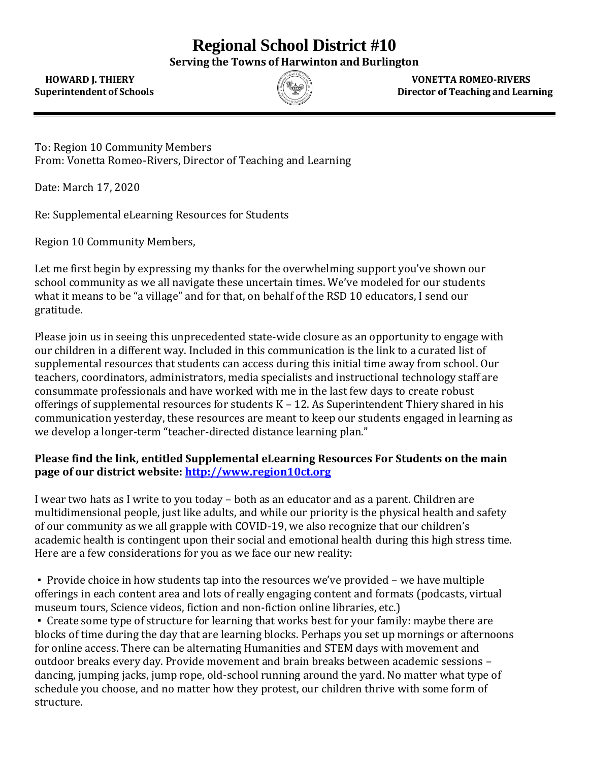## **Regional School District #10**

**Serving the Towns of Harwinton and Burlington**



 **HOWARD J. THIERY VONETTA ROMEO-RIVERS Superintendent of Schools Director of Teaching and Learning**

To: Region 10 Community Members From: Vonetta Romeo-Rivers, Director of Teaching and Learning

Date: March 17, 2020

Re: Supplemental eLearning Resources for Students

Region 10 Community Members,

Let me first begin by expressing my thanks for the overwhelming support you've shown our school community as we all navigate these uncertain times. We've modeled for our students what it means to be "a village" and for that, on behalf of the RSD 10 educators, I send our gratitude.

Please join us in seeing this unprecedented state-wide closure as an opportunity to engage with our children in a different way. Included in this communication is the link to a curated list of supplemental resources that students can access during this initial time away from school. Our teachers, coordinators, administrators, media specialists and instructional technology staff are consummate professionals and have worked with me in the last few days to create robust offerings of supplemental resources for students K – 12. As Superintendent Thiery shared in his communication yesterday, these resources are meant to keep our students engaged in learning as we develop a longer-term "teacher-directed distance learning plan."

## **Please find the link, entitled Supplemental eLearning Resources For Students on the main page of our district website: [http://www.region10ct.org](http://www.region10ct.org/)**

I wear two hats as I write to you today – both as an educator and as a parent. Children are multidimensional people, just like adults, and while our priority is the physical health and safety of our community as we all grapple with COVID-19, we also recognize that our children's academic health is contingent upon their social and emotional health during this high stress time. Here are a few considerations for you as we face our new reality:

▪ Provide choice in how students tap into the resources we've provided – we have multiple offerings in each content area and lots of really engaging content and formats (podcasts, virtual museum tours, Science videos, fiction and non-fiction online libraries, etc.)

• Create some type of structure for learning that works best for your family: maybe there are blocks of time during the day that are learning blocks. Perhaps you set up mornings or afternoons for online access. There can be alternating Humanities and STEM days with movement and outdoor breaks every day. Provide movement and brain breaks between academic sessions – dancing, jumping jacks, jump rope, old-school running around the yard. No matter what type of schedule you choose, and no matter how they protest, our children thrive with some form of structure.